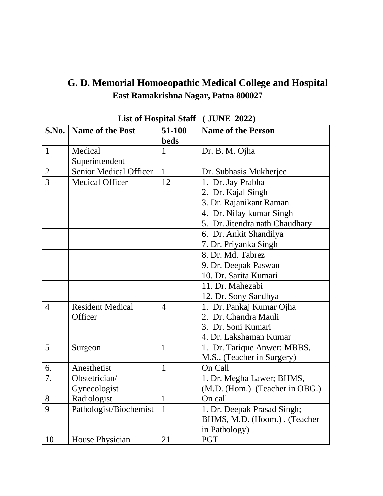## **G. D. Memorial Homoeopathic Medical College and Hospital East Ramakrishna Nagar, Patna 800027**

| S.No.          | <b>Name of the Post</b>       | 51-100         | <b>Name of the Person</b>      |
|----------------|-------------------------------|----------------|--------------------------------|
|                |                               | <b>beds</b>    |                                |
| $\mathbf{1}$   | Medical                       | 1              | Dr. B. M. Ojha                 |
|                | Superintendent                |                |                                |
| $\overline{2}$ | <b>Senior Medical Officer</b> | $\mathbf{1}$   | Dr. Subhasis Mukherjee         |
| 3              | <b>Medical Officer</b>        | 12             | 1. Dr. Jay Prabha              |
|                |                               |                | 2. Dr. Kajal Singh             |
|                |                               |                | 3. Dr. Rajanikant Raman        |
|                |                               |                | 4. Dr. Nilay kumar Singh       |
|                |                               |                | 5. Dr. Jitendra nath Chaudhary |
|                |                               |                | 6. Dr. Ankit Shandilya         |
|                |                               |                | 7. Dr. Priyanka Singh          |
|                |                               |                | 8. Dr. Md. Tabrez              |
|                |                               |                | 9. Dr. Deepak Paswan           |
|                |                               |                | 10. Dr. Sarita Kumari          |
|                |                               |                | 11. Dr. Mahezabi               |
|                |                               |                | 12. Dr. Sony Sandhya           |
| $\overline{4}$ | <b>Resident Medical</b>       | $\overline{4}$ | 1. Dr. Pankaj Kumar Ojha       |
|                | Officer                       |                | 2. Dr. Chandra Mauli           |
|                |                               |                | 3. Dr. Soni Kumari             |
|                |                               |                | 4. Dr. Lakshaman Kumar         |
| 5              | Surgeon                       | $\mathbf{1}$   | 1. Dr. Tarique Anwer; MBBS,    |
|                |                               |                | M.S., (Teacher in Surgery)     |
| 6.             | Anesthetist                   | $\mathbf{1}$   | On Call                        |
| 7.             | Obstetrician/                 |                | 1. Dr. Megha Lawer; BHMS,      |
|                | Gynecologist                  |                | (M.D. (Hom.) (Teacher in OBG.) |
| 8              | Radiologist                   | $\mathbf{1}$   | On call                        |
| 9              | Pathologist/Biochemist        | $\mathbf{1}$   | 1. Dr. Deepak Prasad Singh;    |
|                |                               |                | BHMS, M.D. (Hoom.), (Teacher   |
|                |                               |                | in Pathology)                  |
| 10             | House Physician               | 21             | <b>PGT</b>                     |

| List of Hospital Staff (JUNE 2022) |  |  |
|------------------------------------|--|--|
|------------------------------------|--|--|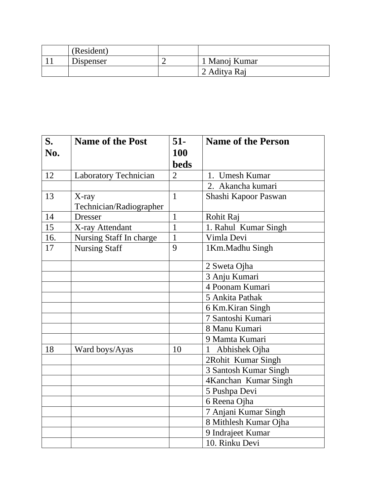| (Resident) |               |
|------------|---------------|
| Dispenser  | 1 Manoj Kumar |
|            | 2 Aditya Raj  |

| S.  | <b>Name of the Post</b> | $51-$          | <b>Name of the Person</b> |
|-----|-------------------------|----------------|---------------------------|
| No. |                         | 100            |                           |
|     |                         | <b>beds</b>    |                           |
| 12  | Laboratory Technician   | $\overline{2}$ | 1. Umesh Kumar            |
|     |                         |                | 2. Akancha kumari         |
| 13  | X-ray                   | $\mathbf{1}$   | Shashi Kapoor Paswan      |
|     | Technician/Radiographer |                |                           |
| 14  | <b>Dresser</b>          | 1              | Rohit Raj                 |
| 15  | X-ray Attendant         | $\mathbf{1}$   | 1. Rahul Kumar Singh      |
| 16. | Nursing Staff In charge | $\mathbf{1}$   | Vimla Devi                |
| 17  | <b>Nursing Staff</b>    | 9              | 1 Km.Madhu Singh          |
|     |                         |                | 2 Sweta Ojha              |
|     |                         |                | 3 Anju Kumari             |
|     |                         |                | 4 Poonam Kumari           |
|     |                         |                | 5 Ankita Pathak           |
|     |                         |                | 6 Km.Kiran Singh          |
|     |                         |                | 7 Santoshi Kumari         |
|     |                         |                | 8 Manu Kumari             |
|     |                         |                | 9 Mamta Kumari            |
| 18  | Ward boys/Ayas          | 10             | Abhishek Ojha<br>1        |
|     |                         |                | 2Rohit Kumar Singh        |
|     |                         |                | 3 Santosh Kumar Singh     |
|     |                         |                | 4Kanchan Kumar Singh      |
|     |                         |                | 5 Pushpa Devi             |
|     |                         |                | 6 Reena Ojha              |
|     |                         |                | 7 Anjani Kumar Singh      |
|     |                         |                | 8 Mithlesh Kumar Ojha     |
|     |                         |                | 9 Indrajeet Kumar         |
|     |                         |                | 10. Rinku Devi            |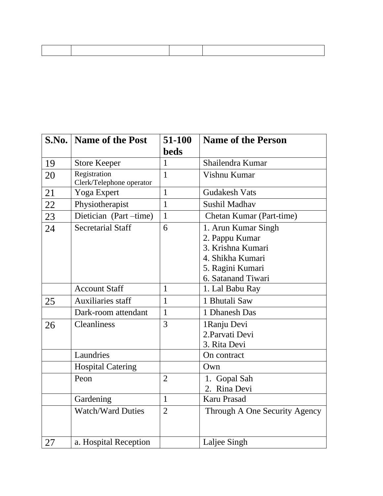|    | <b>S.No.</b>   <b>Name of the Post</b>   | 51-100<br><b>beds</b> | <b>Name of the Person</b>                                                                                                |
|----|------------------------------------------|-----------------------|--------------------------------------------------------------------------------------------------------------------------|
| 19 | <b>Store Keeper</b>                      | $\mathbf{1}$          | Shailendra Kumar                                                                                                         |
| 20 | Registration<br>Clerk/Telephone operator | $\mathbf{1}$          | Vishnu Kumar                                                                                                             |
| 21 | Yoga Expert                              | $\mathbf{1}$          | <b>Gudakesh Vats</b>                                                                                                     |
| 22 | Physiotherapist                          | $\mathbf{1}$          | Sushil Madhav                                                                                                            |
| 23 | Dietician (Part-time)                    | $\mathbf{1}$          | Chetan Kumar (Part-time)                                                                                                 |
| 24 | <b>Secretarial Staff</b>                 | 6                     | 1. Arun Kumar Singh<br>2. Pappu Kumar<br>3. Krishna Kumari<br>4. Shikha Kumari<br>5. Ragini Kumari<br>6. Satanand Tiwari |
|    | <b>Account Staff</b>                     | $\mathbf{1}$          | 1. Lal Babu Ray                                                                                                          |
| 25 | <b>Auxiliaries staff</b>                 | $\mathbf{1}$          | 1 Bhutali Saw                                                                                                            |
|    | Dark-room attendant                      | $\mathbf{1}$          | 1 Dhanesh Das                                                                                                            |
| 26 | Cleanliness                              | 3                     | 1Ranju Devi<br>2. Parvati Devi<br>3. Rita Devi                                                                           |
|    | Laundries                                |                       | On contract                                                                                                              |
|    | <b>Hospital Catering</b>                 |                       | Own                                                                                                                      |
|    | Peon                                     | $\overline{2}$        | 1. Gopal Sah<br>2. Rina Devi                                                                                             |
|    | Gardening                                | $\mathbf{1}$          | Karu Prasad                                                                                                              |
|    | <b>Watch/Ward Duties</b>                 | $\overline{2}$        | Through A One Security Agency                                                                                            |
| 27 | a. Hospital Reception                    |                       | Laljee Singh                                                                                                             |